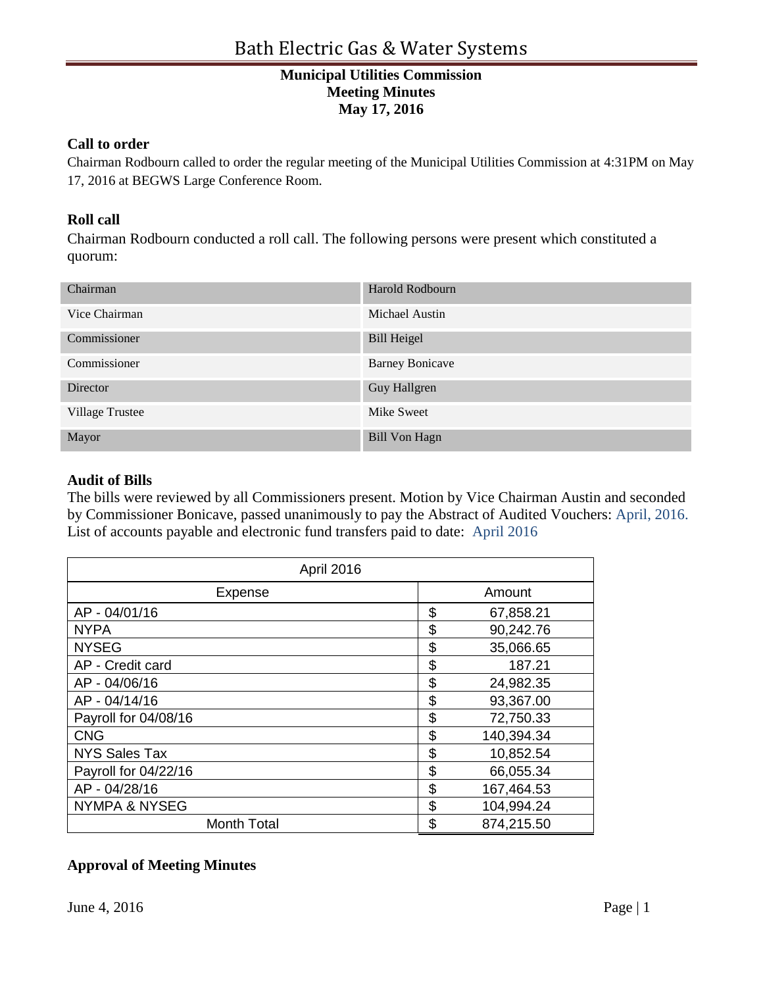# **Municipal Utilities Commission Meeting Minutes May 17, 2016**

### **Call to order**

Chairman Rodbourn called to order the regular meeting of the Municipal Utilities Commission at 4:31PM on May 17, 2016 at BEGWS Large Conference Room.

### **Roll call**

Chairman Rodbourn conducted a roll call. The following persons were present which constituted a quorum:

| Chairman        | Harold Rodbourn        |
|-----------------|------------------------|
| Vice Chairman   | Michael Austin         |
| Commissioner    | <b>Bill Heigel</b>     |
| Commissioner    | <b>Barney Bonicave</b> |
| Director        | Guy Hallgren           |
| Village Trustee | Mike Sweet             |
| Mayor           | <b>Bill Von Hagn</b>   |

#### **Audit of Bills**

The bills were reviewed by all Commissioners present. Motion by Vice Chairman Austin and seconded by Commissioner Bonicave, passed unanimously to pay the Abstract of Audited Vouchers: April, 2016. List of accounts payable and electronic fund transfers paid to date: April 2016

| April 2016               |    |            |
|--------------------------|----|------------|
| Expense                  |    | Amount     |
| AP - 04/01/16            | \$ | 67,858.21  |
| <b>NYPA</b>              | \$ | 90,242.76  |
| <b>NYSEG</b>             | \$ | 35,066.65  |
| AP - Credit card         | \$ | 187.21     |
| AP - 04/06/16            | \$ | 24,982.35  |
| AP - 04/14/16            | \$ | 93,367.00  |
| Payroll for 04/08/16     | \$ | 72,750.33  |
| <b>CNG</b>               | \$ | 140,394.34 |
| <b>NYS Sales Tax</b>     | \$ | 10,852.54  |
| Payroll for 04/22/16     | \$ | 66,055.34  |
| AP - 04/28/16            | \$ | 167,464.53 |
| <b>NYMPA &amp; NYSEG</b> | \$ | 104,994.24 |
| <b>Month Total</b>       | \$ | 874,215.50 |

## **Approval of Meeting Minutes**